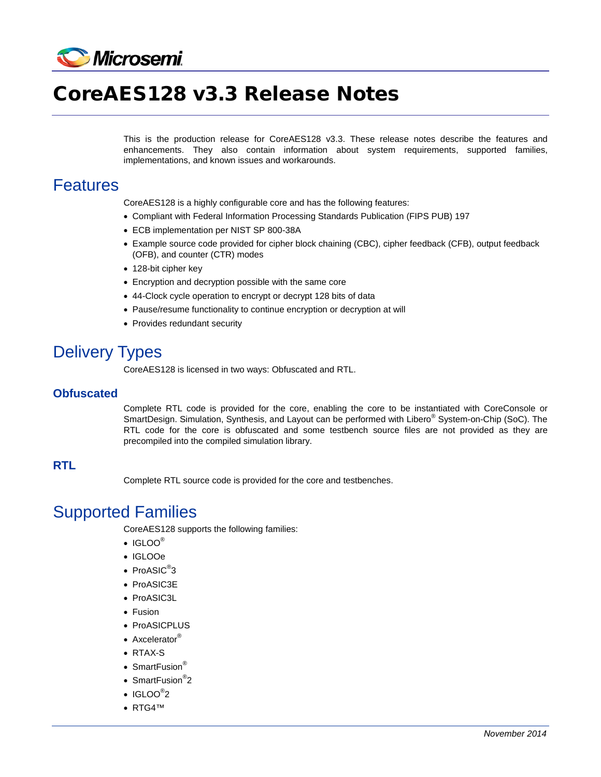

# CoreAES128 v3.3 Release Notes

This is the production release for CoreAES128 v3.3. These release notes describe the features and enhancements. They also contain information about system requirements, supported families, implementations, and known issues and workarounds.

### Features

CoreAES128 is a highly configurable core and has the following features:

- Compliant with Federal Information Processing Standards Publication (FIPS PUB) 197
- ECB implementation per NIST SP 800-38A
- Example source code provided for cipher block chaining (CBC), cipher feedback (CFB), output feedback (OFB), and counter (CTR) modes
- 128-bit cipher key
- Encryption and decryption possible with the same core
- 44-Clock cycle operation to encrypt or decrypt 128 bits of data
- Pause/resume functionality to continue encryption or decryption at will
- Provides redundant security

## Delivery Types

CoreAES128 is licensed in two ways: Obfuscated and RTL.

#### **Obfuscated**

Complete RTL code is provided for the core, enabling the core to be instantiated with CoreConsole or SmartDesign. Simulation, Synthesis, and Layout can be performed with Libero<sup>®</sup> System-on-Chip (SoC). The RTL code for the core is obfuscated and some testbench source files are not provided as they are precompiled into the compiled simulation library.

#### **RTL**

Complete RTL source code is provided for the core and testbenches.

## Supported Families

CoreAES128 supports the following families:

- $\bullet$  IGLOO®
- IGLOOe
- $\bullet$  ProASIC $^\circledR$ 3
- ProASIC3E
- ProASIC3L
- Fusion
- ProASICPLUS
- Axcelerator<sup>®</sup>
- RTAX-S
- SmartFusion®
- SmartFusion<sup>®</sup>2
- $\bullet$  IGLOO $^\circ$ 2
- RTG4™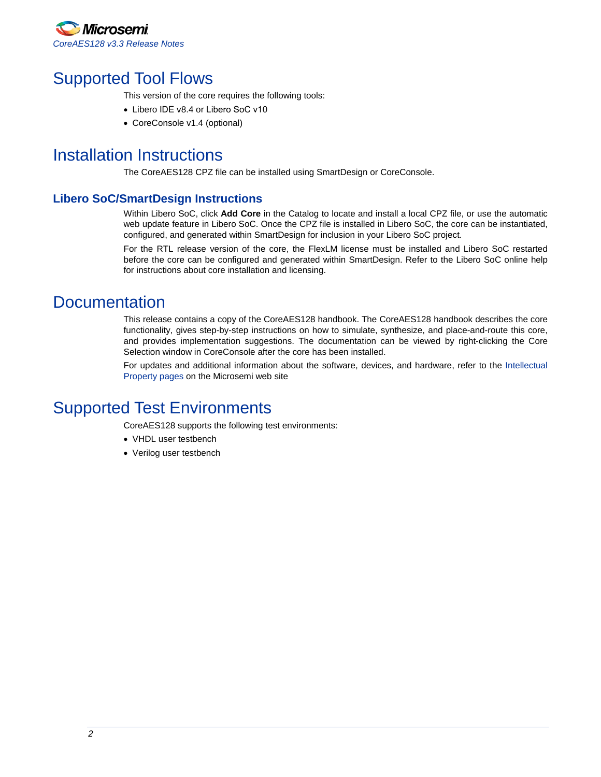

## Supported Tool Flows

This version of the core requires the following tools:

- Libero IDE v8.4 or Libero SoC v10
- CoreConsole v1.4 (optional)

## <span id="page-1-0"></span>Installation Instructions

The CoreAES128 CPZ file can be installed using SmartDesign or CoreConsole.

### **Libero SoC/SmartDesign Instructions**

Within Libero SoC, click **Add Core** in the Catalog to locate and install a local CPZ file, or use the automatic web update feature in Libero SoC. Once the CPZ file is installed in Libero SoC, the core can be instantiated, configured, and generated within SmartDesign for inclusion in your Libero SoC project.

For the RTL release version of the core, the FlexLM license must be installed and Libero SoC restarted before the core can be configured and generated within SmartDesign. Refer to the Libero SoC online help for instructions about core installation and licensing.

### **Documentation**

This release contains a copy of the CoreAES128 handbook. The CoreAES128 handbook describes the core functionality, gives step-by-step instructions on how to simulate, synthesize, and place-and-route this core, and provides implementation suggestions. The documentation can be viewed by right-clicking the Core Selection window in CoreConsole after the core has been installed.

For updates and additional information about the software, devices, and hardware, refer to the [Intellectual](http://www.microsemi.com/products/fpga-soc/design-resources/ip-cores)  [Property pages](http://www.microsemi.com/products/fpga-soc/design-resources/ip-cores) on the Microsemi web site

### Supported Test Environments

CoreAES128 supports the following test environments:

- VHDL user testbench
- Verilog user testbench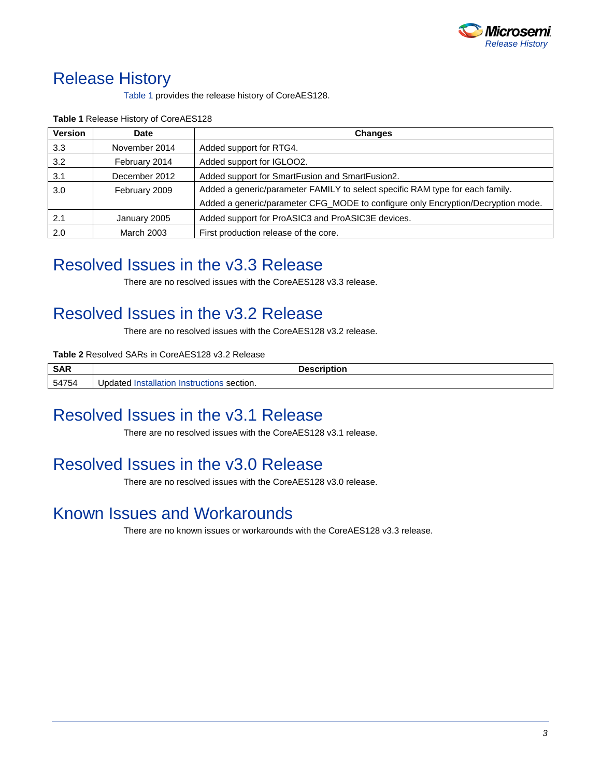

## Release History

[Table 1](#page-2-0) provides the release history of CoreAES128.

| <b>Version</b> | Date              | <b>Changes</b>                                                                   |
|----------------|-------------------|----------------------------------------------------------------------------------|
| 3.3            | November 2014     | Added support for RTG4.                                                          |
| 3.2            | February 2014     | Added support for IGLOO2.                                                        |
| 3.1            | December 2012     | Added support for SmartFusion and SmartFusion2.                                  |
| 3.0            | February 2009     | Added a generic/parameter FAMILY to select specific RAM type for each family.    |
|                |                   | Added a generic/parameter CFG_MODE to configure only Encryption/Decryption mode. |
| 2.1            | January 2005      | Added support for ProASIC3 and ProASIC3E devices.                                |
| 2.0            | <b>March 2003</b> | First production release of the core.                                            |

<span id="page-2-0"></span>**Table 1** Release History of CoreAES128

## Resolved Issues in the v3.3 Release

There are no resolved issues with the CoreAES128 v3.3 release.

## Resolved Issues in the v3.2 Release

There are no resolved issues with the CoreAES128 v3.2 release.

#### **Table 2** Resolved SARs in CoreAES128 v3.2 Release

| <b>SAR</b> | <b>Description</b>                                   |
|------------|------------------------------------------------------|
| 54754      | Installation<br>Jpdated<br>∟Instructions<br>section. |

## Resolved Issues in the v3.1 Release

There are no resolved issues with the CoreAES128 v3.1 release.

## Resolved Issues in the v3.0 Release

There are no resolved issues with the CoreAES128 v3.0 release.

## Known Issues and Workarounds

There are no known issues or workarounds with the CoreAES128 v3.3 release.